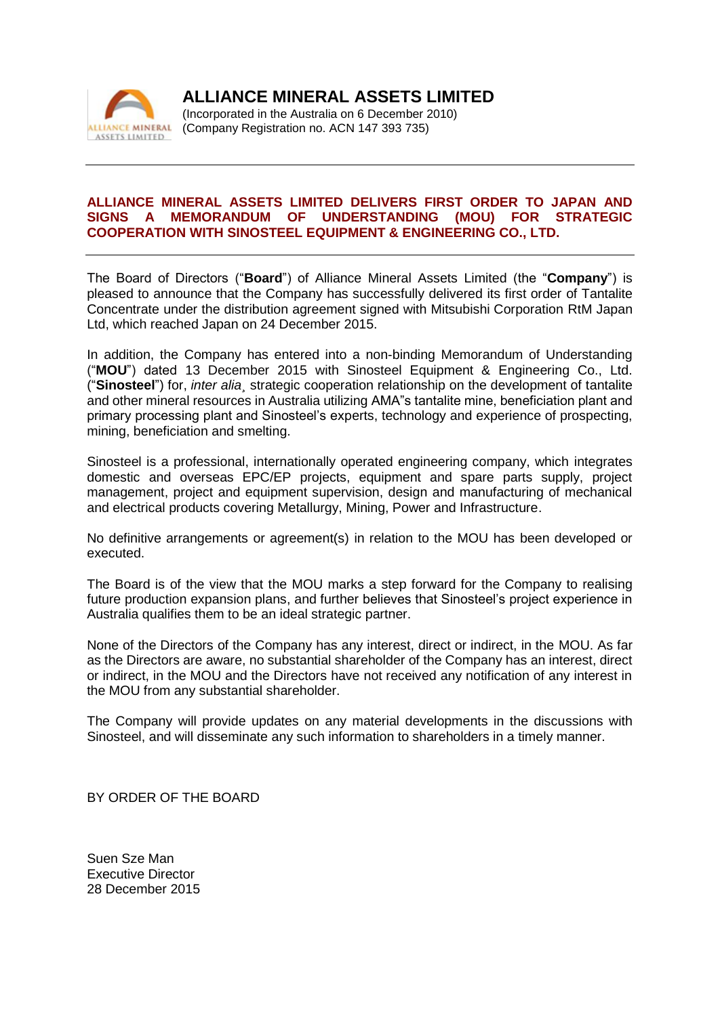

**ALLIANCE MINERAL ASSETS LIMITED**

(Incorporated in the Australia on 6 December 2010) (Company Registration no. ACN 147 393 735)

## **ALLIANCE MINERAL ASSETS LIMITED DELIVERS FIRST ORDER TO JAPAN AND SIGNS A MEMORANDUM OF UNDERSTANDING (MOU) FOR STRATEGIC COOPERATION WITH SINOSTEEL EQUIPMENT & ENGINEERING CO., LTD.**

The Board of Directors ("**Board**") of Alliance Mineral Assets Limited (the "**Company**") is pleased to announce that the Company has successfully delivered its first order of Tantalite Concentrate under the distribution agreement signed with Mitsubishi Corporation RtM Japan Ltd, which reached Japan on 24 December 2015.

In addition, the Company has entered into a non-binding Memorandum of Understanding ("**MOU**") dated 13 December 2015 with Sinosteel Equipment & Engineering Co., Ltd. ("**Sinosteel**") for, *inter alia¸* strategic cooperation relationship on the development of tantalite and other mineral resources in Australia utilizing AMA"s tantalite mine, beneficiation plant and primary processing plant and Sinosteel's experts, technology and experience of prospecting, mining, beneficiation and smelting.

Sinosteel is a professional, internationally operated engineering company, which integrates domestic and overseas EPC/EP projects, equipment and spare parts supply, project management, project and equipment supervision, design and manufacturing of mechanical and electrical products covering Metallurgy, Mining, Power and Infrastructure.

No definitive arrangements or agreement(s) in relation to the MOU has been developed or executed.

The Board is of the view that the MOU marks a step forward for the Company to realising future production expansion plans, and further believes that Sinosteel's project experience in Australia qualifies them to be an ideal strategic partner.

None of the Directors of the Company has any interest, direct or indirect, in the MOU. As far as the Directors are aware, no substantial shareholder of the Company has an interest, direct or indirect, in the MOU and the Directors have not received any notification of any interest in the MOU from any substantial shareholder.

The Company will provide updates on any material developments in the discussions with Sinosteel, and will disseminate any such information to shareholders in a timely manner.

BY ORDER OF THE BOARD

Suen Sze Man Executive Director 28 December 2015